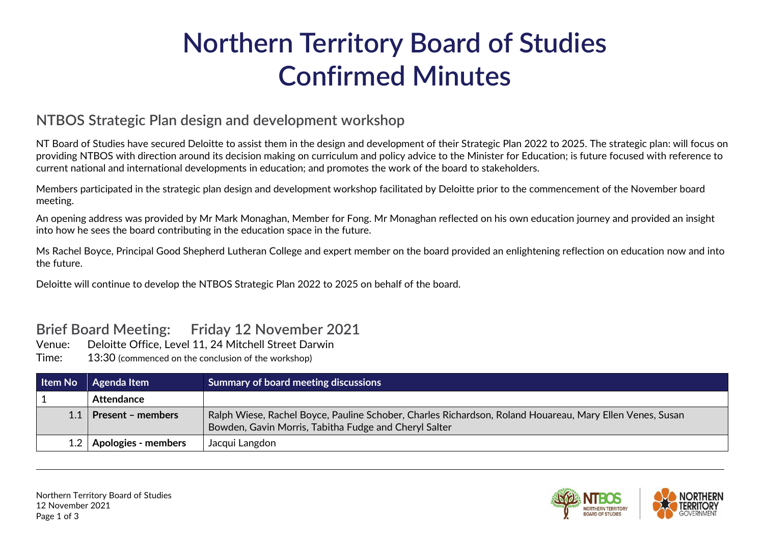## **Northern Territory Board of Studies Confirmed Minutes**

## **NTBOS Strategic Plan design and development workshop**

NT Board of Studies have secured Deloitte to assist them in the design and development of their Strategic Plan 2022 to 2025. The strategic plan: will focus on providing NTBOS with direction around its decision making on curriculum and policy advice to the Minister for Education; is future focused with reference to current national and international developments in education; and promotes the work of the board to stakeholders.

Members participated in the strategic plan design and development workshop facilitated by Deloitte prior to the commencement of the November board meeting.

An opening address was provided by Mr Mark Monaghan, Member for Fong. Mr Monaghan reflected on his own education journey and provided an insight into how he sees the board contributing in the education space in the future.

Ms Rachel Boyce, Principal Good Shepherd Lutheran College and expert member on the board provided an enlightening reflection on education now and into the future.

Deloitte will continue to develop the NTBOS Strategic Plan 2022 to 2025 on behalf of the board.

## **Brief Board Meeting: Friday 12 November 2021**

- Venue: Deloitte Office, Level 11, 24 Mitchell Street Darwin
- Time: 13:30 (commenced on the conclusion of the workshop)

| Item No | Agenda Item              | <b>Summary of board meeting discussions</b>                                                                                                                       |
|---------|--------------------------|-------------------------------------------------------------------------------------------------------------------------------------------------------------------|
|         | Attendance               |                                                                                                                                                                   |
|         | <b>Present - members</b> | Ralph Wiese, Rachel Boyce, Pauline Schober, Charles Richardson, Roland Houareau, Mary Ellen Venes, Susan<br>Bowden, Gavin Morris, Tabitha Fudge and Cheryl Salter |
| 1.2     | Apologies - members      | Jacqui Langdon                                                                                                                                                    |

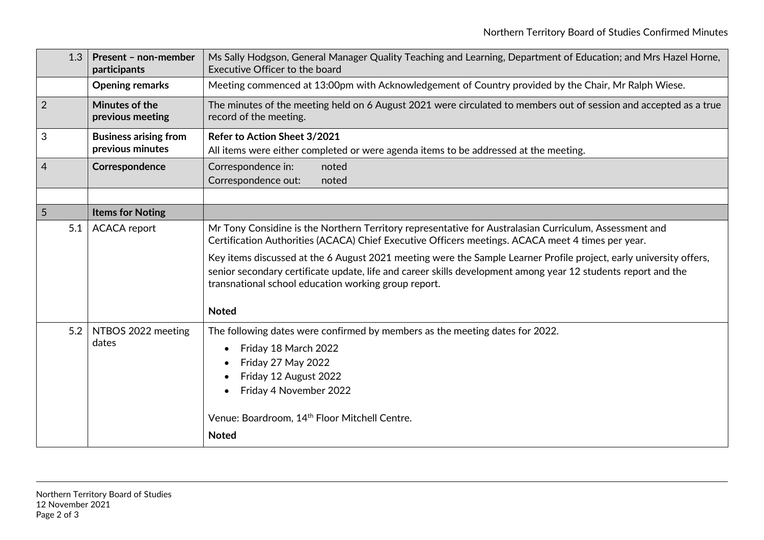| 1.3            | Present - non-member<br>participants             | Ms Sally Hodgson, General Manager Quality Teaching and Learning, Department of Education; and Mrs Hazel Horne,<br>Executive Officer to the board                                                                                                                                                                                  |
|----------------|--------------------------------------------------|-----------------------------------------------------------------------------------------------------------------------------------------------------------------------------------------------------------------------------------------------------------------------------------------------------------------------------------|
|                | <b>Opening remarks</b>                           | Meeting commenced at 13:00pm with Acknowledgement of Country provided by the Chair, Mr Ralph Wiese.                                                                                                                                                                                                                               |
| $\overline{2}$ | Minutes of the<br>previous meeting               | The minutes of the meeting held on 6 August 2021 were circulated to members out of session and accepted as a true<br>record of the meeting.                                                                                                                                                                                       |
| $\sqrt{3}$     | <b>Business arising from</b><br>previous minutes | Refer to Action Sheet 3/2021<br>All items were either completed or were agenda items to be addressed at the meeting.                                                                                                                                                                                                              |
| $\overline{4}$ | Correspondence                                   | Correspondence in:<br>noted<br>Correspondence out:<br>noted                                                                                                                                                                                                                                                                       |
|                |                                                  |                                                                                                                                                                                                                                                                                                                                   |
| 5              | <b>Items for Noting</b>                          |                                                                                                                                                                                                                                                                                                                                   |
| 5.1            | <b>ACACA</b> report                              | Mr Tony Considine is the Northern Territory representative for Australasian Curriculum, Assessment and<br>Certification Authorities (ACACA) Chief Executive Officers meetings. ACACA meet 4 times per year.<br>Key items discussed at the 6 August 2021 meeting were the Sample Learner Profile project, early university offers, |
|                |                                                  | senior secondary certificate update, life and career skills development among year 12 students report and the<br>transnational school education working group report.                                                                                                                                                             |
|                |                                                  | <b>Noted</b>                                                                                                                                                                                                                                                                                                                      |
| 5.2            | NTBOS 2022 meeting<br>dates                      | The following dates were confirmed by members as the meeting dates for 2022.                                                                                                                                                                                                                                                      |
|                |                                                  | Friday 18 March 2022                                                                                                                                                                                                                                                                                                              |
|                |                                                  | Friday 27 May 2022                                                                                                                                                                                                                                                                                                                |
|                |                                                  | Friday 12 August 2022                                                                                                                                                                                                                                                                                                             |
|                |                                                  | Friday 4 November 2022<br>$\bullet$                                                                                                                                                                                                                                                                                               |
|                |                                                  | Venue: Boardroom, 14 <sup>th</sup> Floor Mitchell Centre.                                                                                                                                                                                                                                                                         |
|                |                                                  | <b>Noted</b>                                                                                                                                                                                                                                                                                                                      |